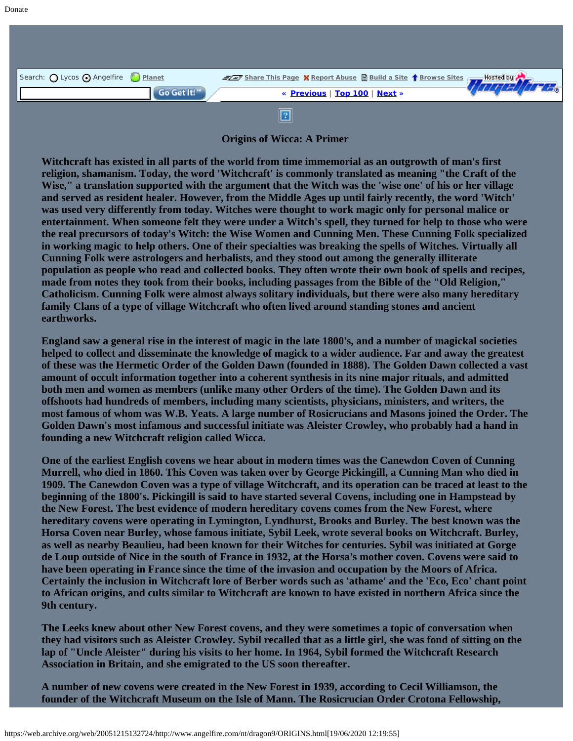| Search: O Lycos O Angelfire Planet |             | Share This Page X Report Abuse B Build a Site 1 Browse Sites 7 Hosted by A |                |
|------------------------------------|-------------|----------------------------------------------------------------------------|----------------|
|                                    | Go Get It!" | « Previous   Top 100   Next »                                              | <b>THE REE</b> |
|                                    |             |                                                                            |                |

**Origins of Wicca: A Primer**

**Witchcraft has existed in all parts of the world from time immemorial as an outgrowth of man's first religion, shamanism. Today, the word 'Witchcraft' is commonly translated as meaning "the Craft of the Wise," a translation supported with the argument that the Witch was the 'wise one' of his or her village and served as resident healer. However, from the Middle Ages up until fairly recently, the word 'Witch' was used very differently from today. Witches were thought to work magic only for personal malice or entertainment. When someone felt they were under a Witch's spell, they turned for help to those who were the real precursors of today's Witch: the Wise Women and Cunning Men. These Cunning Folk specialized in working magic to help others. One of their specialties was breaking the spells of Witches. Virtually all Cunning Folk were astrologers and herbalists, and they stood out among the generally illiterate population as people who read and collected books. They often wrote their own book of spells and recipes, made from notes they took from their books, including passages from the Bible of the "Old Religion," Catholicism. Cunning Folk were almost always solitary individuals, but there were also many hereditary family Clans of a type of village Witchcraft who often lived around standing stones and ancient earthworks.**

**England saw a general rise in the interest of magic in the late 1800's, and a number of magickal societies helped to collect and disseminate the knowledge of magick to a wider audience. Far and away the greatest of these was the Hermetic Order of the Golden Dawn (founded in 1888). The Golden Dawn collected a vast amount of occult information together into a coherent synthesis in its nine major rituals, and admitted both men and women as members (unlike many other Orders of the time). The Golden Dawn and its offshoots had hundreds of members, including many scientists, physicians, ministers, and writers, the most famous of whom was W.B. Yeats. A large number of Rosicrucians and Masons joined the Order. The Golden Dawn's most infamous and successful initiate was Aleister Crowley, who probably had a hand in founding a new Witchcraft religion called Wicca.**

**One of the earliest English covens we hear about in modern times was the Canewdon Coven of Cunning Murrell, who died in 1860. This Coven was taken over by George Pickingill, a Cunning Man who died in 1909. The Canewdon Coven was a type of village Witchcraft, and its operation can be traced at least to the beginning of the 1800's. Pickingill is said to have started several Covens, including one in Hampstead by the New Forest. The best evidence of modern hereditary covens comes from the New Forest, where hereditary covens were operating in Lymington, Lyndhurst, Brooks and Burley. The best known was the Horsa Coven near Burley, whose famous initiate, Sybil Leek, wrote several books on Witchcraft. Burley, as well as nearby Beaulieu, had been known for their Witches for centuries. Sybil was initiated at Gorge de Loup outside of Nice in the south of France in 1932, at the Horsa's mother coven. Covens were said to have been operating in France since the time of the invasion and occupation by the Moors of Africa. Certainly the inclusion in Witchcraft lore of Berber words such as 'athame' and the 'Eco, Eco' chant point to African origins, and cults similar to Witchcraft are known to have existed in northern Africa since the 9th century.**

**The Leeks knew about other New Forest covens, and they were sometimes a topic of conversation when they had visitors such as Aleister Crowley. Sybil recalled that as a little girl, she was fond of sitting on the lap of "Uncle Aleister" during his visits to her home. In 1964, Sybil formed the Witchcraft Research Association in Britain, and she emigrated to the US soon thereafter.**

**A number of new covens were created in the New Forest in 1939, according to Cecil Williamson, the founder of the Witchcraft Museum on the Isle of Mann. The Rosicrucian Order Crotona Fellowship,**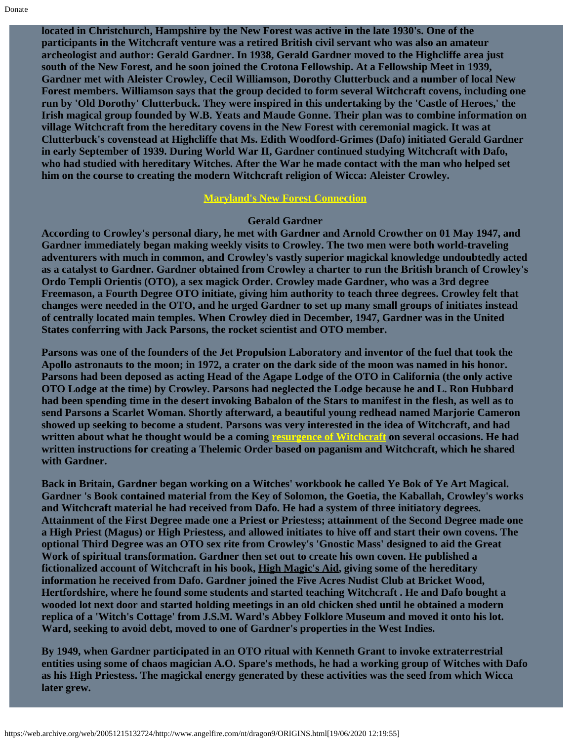**located in Christchurch, Hampshire by the New Forest was active in the late 1930's. One of the participants in the Witchcraft venture was a retired British civil servant who was also an amateur archeologist and author: Gerald Gardner. In 1938, Gerald Gardner moved to the Highcliffe area just south of the New Forest, and he soon joined the Crotona Fellowship. At a Fellowship Meet in 1939, Gardner met with Aleister Crowley, Cecil Williamson, Dorothy Clutterbuck and a number of local New Forest members. Williamson says that the group decided to form several Witchcraft covens, including one run by 'Old Dorothy' Clutterbuck. They were inspired in this undertaking by the 'Castle of Heroes,' the Irish magical group founded by W.B. Yeats and Maude Gonne. Their plan was to combine information on village Witchcraft from the hereditary covens in the New Forest with ceremonial magick. It was at Clutterbuck's covenstead at Highcliffe that Ms. Edith Woodford-Grimes (Dafo) initiated Gerald Gardner in early September of 1939. During World War II, Gardner continued studying Witchcraft with Dafo, who had studied with hereditary Witches. After the War he made contact with the man who helped set him on the course to creating the modern Witchcraft religion of Wicca: Aleister Crowley.**

## **[Maryland's New Forest Connection](https://web.archive.org/web/20051215132724/http://www.angelfire.com/nt/dragon9/CAMILLE.html)**

## **Gerald Gardner**

**According to Crowley's personal diary, he met with Gardner and Arnold Crowther on 01 May 1947, and Gardner immediately began making weekly visits to Crowley. The two men were both world-traveling adventurers with much in common, and Crowley's vastly superior magickal knowledge undoubtedly acted as a catalyst to Gardner. Gardner obtained from Crowley a charter to run the British branch of Crowley's Ordo Templi Orientis (OTO), a sex magick Order. Crowley made Gardner, who was a 3rd degree Freemason, a Fourth Degree OTO initiate, giving him authority to teach three degrees. Crowley felt that changes were needed in the OTO, and he urged Gardner to set up many small groups of initiates instead of centrally located main temples. When Crowley died in December, 1947, Gardner was in the United States conferring with Jack Parsons, the rocket scientist and OTO member.**

**Parsons was one of the founders of the Jet Propulsion Laboratory and inventor of the fuel that took the Apollo astronauts to the moon; in 1972, a crater on the dark side of the moon was named in his honor. Parsons had been deposed as acting Head of the Agape Lodge of the OTO in California (the only active OTO Lodge at the time) by Crowley. Parsons had neglected the Lodge because he and L. Ron Hubbard had been spending time in the desert invoking Babalon of the Stars to manifest in the flesh, as well as to send Parsons a Scarlet Woman. Shortly afterward, a beautiful young redhead named Marjorie Cameron showed up seeking to become a student. Parsons was very interested in the idea of Witchcraft, and had written about what he thought would be a coming [resurgence of Witchcraft](https://web.archive.org/web/20051215132724/http://www.angelfire.com/nt/dragon9/PARSONS.html) on several occasions. He had written instructions for creating a Thelemic Order based on paganism and Witchcraft, which he shared with Gardner.**

**Back in Britain, Gardner began working on a Witches' workbook he called Ye Bok of Ye Art Magical. Gardner 's Book contained material from the Key of Solomon, the Goetia, the Kaballah, Crowley's works and Witchcraft material he had received from Dafo. He had a system of three initiatory degrees. Attainment of the First Degree made one a Priest or Priestess; attainment of the Second Degree made one a High Priest (Magus) or High Priestess, and allowed initiates to hive off and start their own covens. The optional Third Degree was an OTO sex rite from Crowley's 'Gnostic Mass' designed to aid the Great Work of spiritual transformation. Gardner then set out to create his own coven. He published a fictionalized account of Witchcraft in his book, High Magic's Aid, giving some of the hereditary information he received from Dafo. Gardner joined the Five Acres Nudist Club at Bricket Wood, Hertfordshire, where he found some students and started teaching Witchcraft . He and Dafo bought a wooded lot next door and started holding meetings in an old chicken shed until he obtained a modern replica of a 'Witch's Cottage' from J.S.M. Ward's Abbey Folklore Museum and moved it onto his lot. Ward, seeking to avoid debt, moved to one of Gardner's properties in the West Indies.**

**By 1949, when Gardner participated in an OTO ritual with Kenneth Grant to invoke extraterrestrial entities using some of chaos magician A.O. Spare's methods, he had a working group of Witches with Dafo as his High Priestess. The magickal energy generated by these activities was the seed from which Wicca later grew.**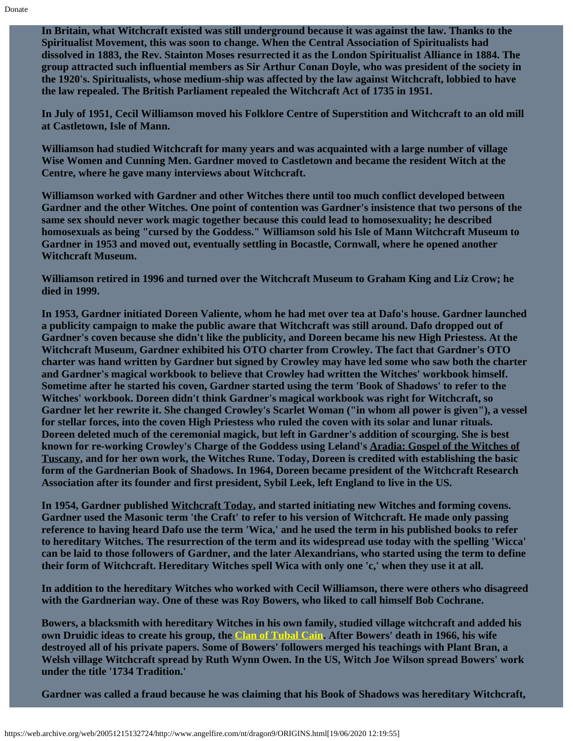**In Britain, what Witchcraft existed was still underground because it was against the law. Thanks to the Spiritualist Movement, this was soon to change. When the Central Association of Spiritualists had dissolved in 1883, the Rev. Stainton Moses resurrected it as the London Spiritualist Alliance in 1884. The group attracted such influential members as Sir Arthur Conan Doyle, who was president of the society in the 1920's. Spiritualists, whose medium-ship was affected by the law against Witchcraft, lobbied to have the law repealed. The British Parliament repealed the Witchcraft Act of 1735 in 1951.**

**In July of 1951, Cecil Williamson moved his Folklore Centre of Superstition and Witchcraft to an old mill at Castletown, Isle of Mann.**

**Williamson had studied Witchcraft for many years and was acquainted with a large number of village Wise Women and Cunning Men. Gardner moved to Castletown and became the resident Witch at the Centre, where he gave many interviews about Witchcraft.**

**Williamson worked with Gardner and other Witches there until too much conflict developed between Gardner and the other Witches. One point of contention was Gardner's insistence that two persons of the same sex should never work magic together because this could lead to homosexuality; he described homosexuals as being "cursed by the Goddess." Williamson sold his Isle of Mann Witchcraft Museum to Gardner in 1953 and moved out, eventually settling in Bocastle, Cornwall, where he opened another Witchcraft Museum.**

**Williamson retired in 1996 and turned over the Witchcraft Museum to Graham King and Liz Crow; he died in 1999.**

**In 1953, Gardner initiated Doreen Valiente, whom he had met over tea at Dafo's house. Gardner launched a publicity campaign to make the public aware that Witchcraft was still around. Dafo dropped out of Gardner's coven because she didn't like the publicity, and Doreen became his new High Priestess. At the Witchcraft Museum, Gardner exhibited his OTO charter from Crowley. The fact that Gardner's OTO charter was hand written by Gardner but signed by Crowley may have led some who saw both the charter and Gardner's magical workbook to believe that Crowley had written the Witches' workbook himself. Sometime after he started his coven, Gardner started using the term 'Book of Shadows' to refer to the Witches' workbook. Doreen didn't think Gardner's magical workbook was right for Witchcraft, so Gardner let her rewrite it. She changed Crowley's Scarlet Woman ("in whom all power is given"), a vessel for stellar forces, into the coven High Priestess who ruled the coven with its solar and lunar rituals. Doreen deleted much of the ceremonial magick, but left in Gardner's addition of scourging. She is best known for re-working Crowley's Charge of the Goddess using Leland's Aradia: Gospel of the Witches of Tuscany, and for her own work, the Witches Rune. Today, Doreen is credited with establishing the basic form of the Gardnerian Book of Shadows. In 1964, Doreen became president of the Witchcraft Research Association after its founder and first president, Sybil Leek, left England to live in the US.**

**In 1954, Gardner published Witchcraft Today, and started initiating new Witches and forming covens. Gardner used the Masonic term 'the Craft' to refer to his version of Witchcraft. He made only passing reference to having heard Dafo use the term 'Wica,' and he used the term in his published books to refer to hereditary Witches. The resurrection of the term and its widespread use today with the spelling 'Wicca' can be laid to those followers of Gardner, and the later Alexandrians, who started using the term to define their form of Witchcraft. Hereditary Witches spell Wica with only one 'c,' when they use it at all.**

**In addition to the hereditary Witches who worked with Cecil Williamson, there were others who disagreed with the Gardnerian way. One of these was Roy Bowers, who liked to call himself Bob Cochrane.**

**Bowers, a blacksmith with hereditary Witches in his own family, studied village witchcraft and added his own Druidic ideas to create his group, the [Clan of Tubal Cain.](https://web.archive.org/web/20051215132724/http://www.angelfire.com/nt/dragon9/BOWERS.html) After Bowers' death in 1966, his wife destroyed all of his private papers. Some of Bowers' followers merged his teachings with Plant Bran, a Welsh village Witchcraft spread by Ruth Wynn Owen. In the US, Witch Joe Wilson spread Bowers' work under the title '1734 Tradition.'**

**Gardner was called a fraud because he was claiming that his Book of Shadows was hereditary Witchcraft,**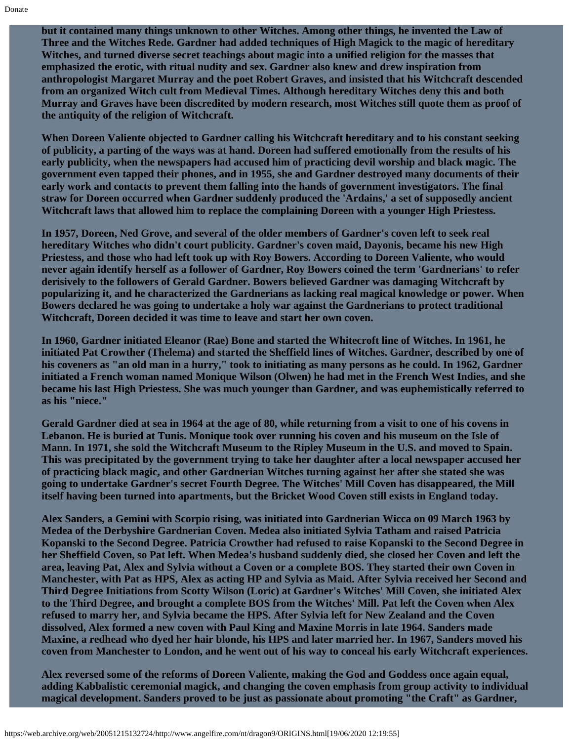**but it contained many things unknown to other Witches. Among other things, he invented the Law of Three and the Witches Rede. Gardner had added techniques of High Magick to the magic of hereditary Witches, and turned diverse secret teachings about magic into a unified religion for the masses that emphasized the erotic, with ritual nudity and sex. Gardner also knew and drew inspiration from anthropologist Margaret Murray and the poet Robert Graves, and insisted that his Witchcraft descended from an organized Witch cult from Medieval Times. Although hereditary Witches deny this and both Murray and Graves have been discredited by modern research, most Witches still quote them as proof of the antiquity of the religion of Witchcraft.**

**When Doreen Valiente objected to Gardner calling his Witchcraft hereditary and to his constant seeking of publicity, a parting of the ways was at hand. Doreen had suffered emotionally from the results of his early publicity, when the newspapers had accused him of practicing devil worship and black magic. The government even tapped their phones, and in 1955, she and Gardner destroyed many documents of their early work and contacts to prevent them falling into the hands of government investigators. The final straw for Doreen occurred when Gardner suddenly produced the 'Ardains,' a set of supposedly ancient Witchcraft laws that allowed him to replace the complaining Doreen with a younger High Priestess.**

**In 1957, Doreen, Ned Grove, and several of the older members of Gardner's coven left to seek real hereditary Witches who didn't court publicity. Gardner's coven maid, Dayonis, became his new High Priestess, and those who had left took up with Roy Bowers. According to Doreen Valiente, who would never again identify herself as a follower of Gardner, Roy Bowers coined the term 'Gardnerians' to refer derisively to the followers of Gerald Gardner. Bowers believed Gardner was damaging Witchcraft by popularizing it, and he characterized the Gardnerians as lacking real magical knowledge or power. When Bowers declared he was going to undertake a holy war against the Gardnerians to protect traditional Witchcraft, Doreen decided it was time to leave and start her own coven.**

**In 1960, Gardner initiated Eleanor (Rae) Bone and started the Whitecroft line of Witches. In 1961, he initiated Pat Crowther (Thelema) and started the Sheffield lines of Witches. Gardner, described by one of his coveners as "an old man in a hurry," took to initiating as many persons as he could. In 1962, Gardner initiated a French woman named Monique Wilson (Olwen) he had met in the French West Indies, and she became his last High Priestess. She was much younger than Gardner, and was euphemistically referred to as his "niece."**

**Gerald Gardner died at sea in 1964 at the age of 80, while returning from a visit to one of his covens in Lebanon. He is buried at Tunis. Monique took over running his coven and his museum on the Isle of Mann. In 1971, she sold the Witchcraft Museum to the Ripley Museum in the U.S. and moved to Spain. This was precipitated by the government trying to take her daughter after a local newspaper accused her of practicing black magic, and other Gardnerian Witches turning against her after she stated she was going to undertake Gardner's secret Fourth Degree. The Witches' Mill Coven has disappeared, the Mill itself having been turned into apartments, but the Bricket Wood Coven still exists in England today.**

**Alex Sanders, a Gemini with Scorpio rising, was initiated into Gardnerian Wicca on 09 March 1963 by Medea of the Derbyshire Gardnerian Coven. Medea also initiated Sylvia Tatham and raised Patricia Kopanski to the Second Degree. Patricia Crowther had refused to raise Kopanski to the Second Degree in her Sheffield Coven, so Pat left. When Medea's husband suddenly died, she closed her Coven and left the area, leaving Pat, Alex and Sylvia without a Coven or a complete BOS. They started their own Coven in Manchester, with Pat as HPS, Alex as acting HP and Sylvia as Maid. After Sylvia received her Second and Third Degree Initiations from Scotty Wilson (Loric) at Gardner's Witches' Mill Coven, she initiated Alex to the Third Degree, and brought a complete BOS from the Witches' Mill. Pat left the Coven when Alex refused to marry her, and Sylvia became the HPS. After Sylvia left for New Zealand and the Coven dissolved, Alex formed a new coven with Paul King and Maxine Morris in late 1964. Sanders made Maxine, a redhead who dyed her hair blonde, his HPS and later married her. In 1967, Sanders moved his coven from Manchester to London, and he went out of his way to conceal his early Witchcraft experiences.**

**Alex reversed some of the reforms of Doreen Valiente, making the God and Goddess once again equal, adding Kabbalistic ceremonial magick, and changing the coven emphasis from group activity to individual magical development. Sanders proved to be just as passionate about promoting "the Craft" as Gardner,**